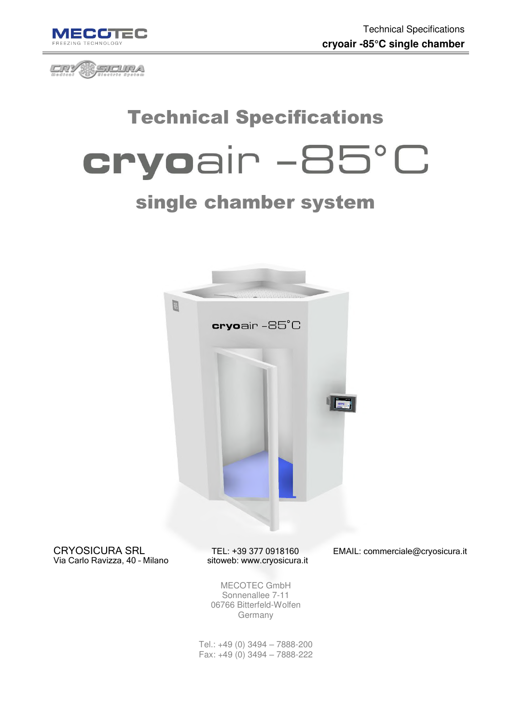



# Technical Specifications cryoair -85°C

## single chamber system



CRYOSICURA SRL TEL: +39 377 0918160 EMAIL: commerciale@cryosicura.it<br>Via Carlo Ravizza, 40 - Milano sitoweb: www.cryosicura.it Via Carlo Ravizza, 40 - Milano

MECOTEC GmbH Sonnenallee 7-11 06766 Bitterfeld-Wolfen Germany

Tel.: +49 (0) 3494 – 7888-200 Fax: +49 (0) 3494 – 7888-222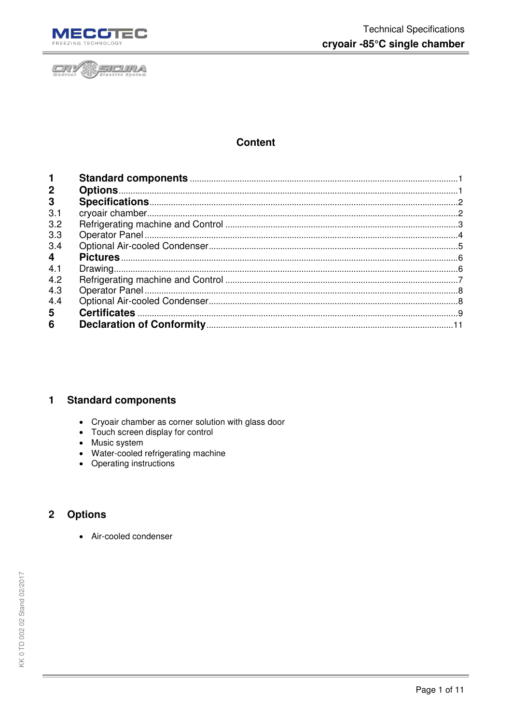



### **Content**

| $\mathbf 1$             |  |
|-------------------------|--|
| $\mathbf{2}$            |  |
| 3                       |  |
| 3.1                     |  |
| 3.2                     |  |
| 3.3                     |  |
| 3.4                     |  |
| $\overline{\mathbf{4}}$ |  |
| 4.1                     |  |
| 4.2                     |  |
| 4.3                     |  |
| 4.4                     |  |
| 5                       |  |
| 6                       |  |

#### <span id="page-1-0"></span> $\mathbf{1}$ **Standard components**

- Cryoair chamber as corner solution with glass door
- Touch screen display for control
- Music system
- Water-cooled refrigerating machine
- Operating instructions

#### <span id="page-1-1"></span>**Options**  $\boldsymbol{2}$

• Air-cooled condenser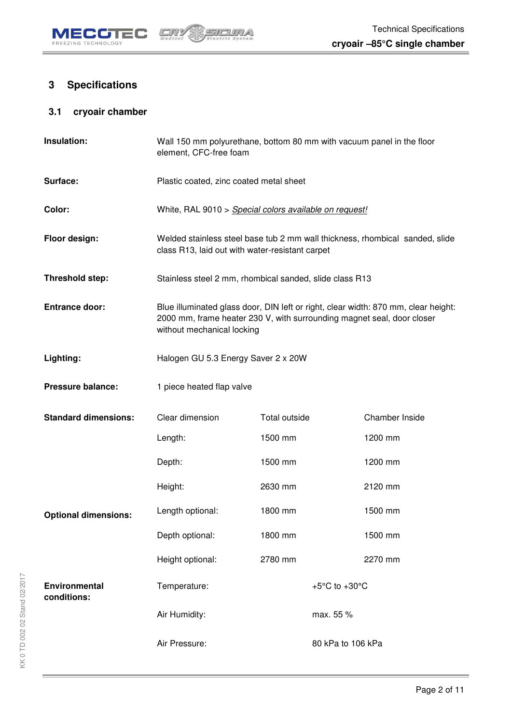

## <span id="page-2-0"></span>**3 Specifications**

### <span id="page-2-1"></span>**3.1 cryoair chamber**

| Insulation:                         | Wall 150 mm polyurethane, bottom 80 mm with vacuum panel in the floor<br>element, CFC-free foam                                                                                            |               |                                     |                |
|-------------------------------------|--------------------------------------------------------------------------------------------------------------------------------------------------------------------------------------------|---------------|-------------------------------------|----------------|
| Surface:                            | Plastic coated, zinc coated metal sheet                                                                                                                                                    |               |                                     |                |
| Color:                              | White, RAL 9010 > Special colors available on request!                                                                                                                                     |               |                                     |                |
| Floor design:                       | Welded stainless steel base tub 2 mm wall thickness, rhombical sanded, slide<br>class R13, laid out with water-resistant carpet                                                            |               |                                     |                |
| Threshold step:                     | Stainless steel 2 mm, rhombical sanded, slide class R13                                                                                                                                    |               |                                     |                |
| <b>Entrance door:</b>               | Blue illuminated glass door, DIN left or right, clear width: 870 mm, clear height:<br>2000 mm, frame heater 230 V, with surrounding magnet seal, door closer<br>without mechanical locking |               |                                     |                |
| Lighting:                           | Halogen GU 5.3 Energy Saver 2 x 20W                                                                                                                                                        |               |                                     |                |
| <b>Pressure balance:</b>            | 1 piece heated flap valve                                                                                                                                                                  |               |                                     |                |
| <b>Standard dimensions:</b>         | Clear dimension                                                                                                                                                                            | Total outside |                                     | Chamber Inside |
|                                     | Length:                                                                                                                                                                                    | 1500 mm       |                                     | 1200 mm        |
|                                     | Depth:                                                                                                                                                                                     | 1500 mm       |                                     | 1200 mm        |
|                                     | Height:                                                                                                                                                                                    | 2630 mm       |                                     | 2120 mm        |
| <b>Optional dimensions:</b>         | Length optional:                                                                                                                                                                           | 1800 mm       |                                     | 1500 mm        |
|                                     | Depth optional:                                                                                                                                                                            | 1800 mm       |                                     | 1500 mm        |
|                                     | Height optional:                                                                                                                                                                           | 2780 mm       |                                     | 2270 mm        |
| <b>Environmental</b><br>conditions: | Temperature:                                                                                                                                                                               |               | +5 $^{\circ}$ C to +30 $^{\circ}$ C |                |
|                                     | Air Humidity:                                                                                                                                                                              |               | max. 55 %                           |                |
|                                     | Air Pressure:                                                                                                                                                                              |               | 80 kPa to 106 kPa                   |                |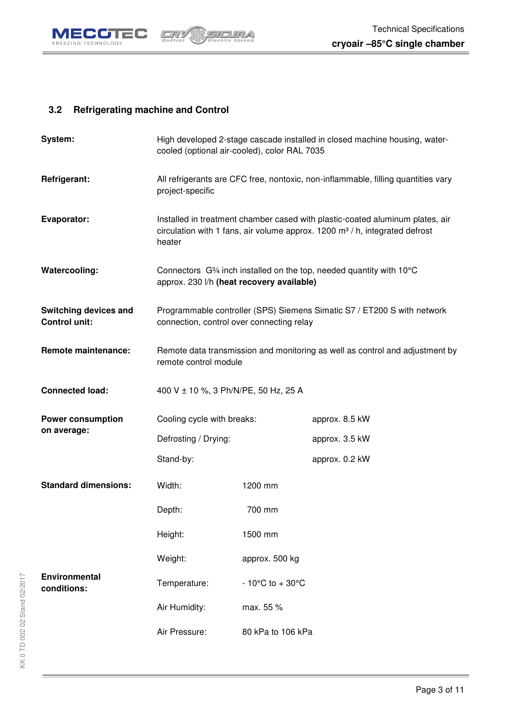

### <span id="page-3-0"></span>**3.2 Refrigerating machine and Control**

| System:                                       | cooled (optional air-cooled), color RAL 7035 |                                    | High developed 2-stage cascade installed in closed machine housing, water-                                                                                              |
|-----------------------------------------------|----------------------------------------------|------------------------------------|-------------------------------------------------------------------------------------------------------------------------------------------------------------------------|
| Refrigerant:                                  | project-specific                             |                                    | All refrigerants are CFC free, nontoxic, non-inflammable, filling quantities vary                                                                                       |
| Evaporator:                                   | heater                                       |                                    | Installed in treatment chamber cased with plastic-coated aluminum plates, air<br>circulation with 1 fans, air volume approx. $1200 \text{ m}^3$ / h, integrated defrost |
| Watercooling:                                 | approx. 230 l/h (heat recovery available)    |                                    | Connectors G <sup>3</sup> /4 inch installed on the top, needed quantity with 10°C                                                                                       |
| Switching devices and<br><b>Control unit:</b> | connection, control over connecting relay    |                                    | Programmable controller (SPS) Siemens Simatic S7 / ET200 S with network                                                                                                 |
| <b>Remote maintenance:</b>                    | remote control module                        |                                    | Remote data transmission and monitoring as well as control and adjustment by                                                                                            |
| <b>Connected load:</b>                        | 400 V ± 10 %, 3 Ph/N/PE, 50 Hz, 25 A         |                                    |                                                                                                                                                                         |
| <b>Power consumption</b>                      | Cooling cycle with breaks:                   |                                    | approx. 8.5 kW                                                                                                                                                          |
| on average:                                   | Defrosting / Drying:                         |                                    | approx. 3.5 kW                                                                                                                                                          |
|                                               | Stand-by:                                    |                                    | approx. 0.2 kW                                                                                                                                                          |
| <b>Standard dimensions:</b>                   | Width:                                       | 1200 mm                            |                                                                                                                                                                         |
|                                               | Depth:                                       | 700 mm                             |                                                                                                                                                                         |
|                                               | Height:                                      | 1500 mm                            |                                                                                                                                                                         |
|                                               | Weight:                                      | approx. 500 kg                     |                                                                                                                                                                         |
| <b>Environmental</b><br>conditions:           | Temperature:                                 | $-10^{\circ}$ C to $+30^{\circ}$ C |                                                                                                                                                                         |
|                                               | Air Humidity:                                | max. 55 %                          |                                                                                                                                                                         |
|                                               | Air Pressure:                                | 80 kPa to 106 kPa                  |                                                                                                                                                                         |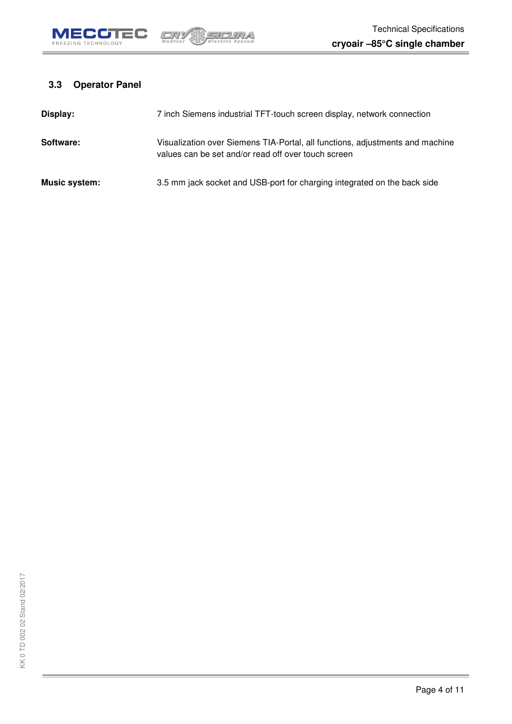

### <span id="page-4-0"></span>**3.3 Operator Panel**

| Display:      | 7 inch Siemens industrial TFT-touch screen display, network connection                                                               |
|---------------|--------------------------------------------------------------------------------------------------------------------------------------|
| Software:     | Visualization over Siemens TIA-Portal, all functions, adjustments and machine<br>values can be set and/or read off over touch screen |
| Music system: | 3.5 mm jack socket and USB-port for charging integrated on the back side                                                             |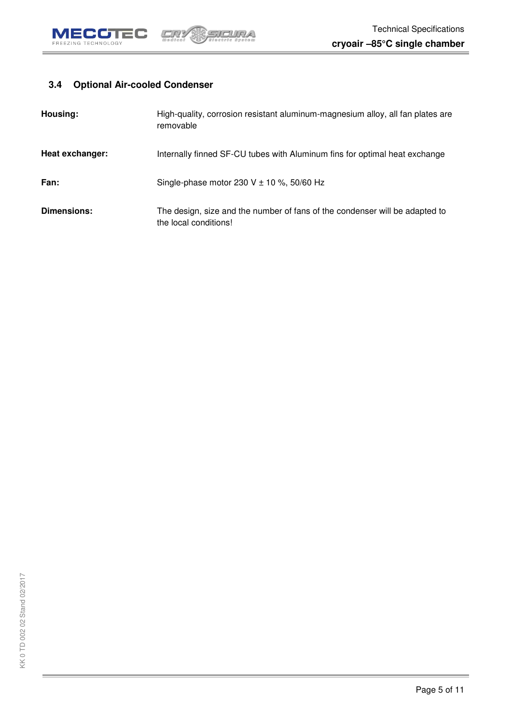

### <span id="page-5-0"></span>**3.4 Optional Air-cooled Condenser**

| Housing:           | High-quality, corrosion resistant aluminum-magnesium alloy, all fan plates are<br>removable          |
|--------------------|------------------------------------------------------------------------------------------------------|
| Heat exchanger:    | Internally finned SF-CU tubes with Aluminum fins for optimal heat exchange                           |
| Fan:               | Single-phase motor 230 V $\pm$ 10 %, 50/60 Hz                                                        |
| <b>Dimensions:</b> | The design, size and the number of fans of the condenser will be adapted to<br>the local conditions! |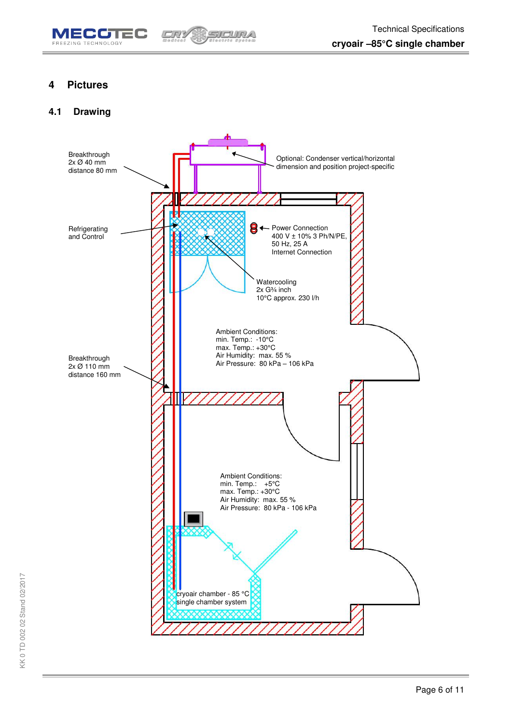

### <span id="page-6-0"></span>**4 Pictures**

#### <span id="page-6-1"></span>**4.1 Drawing**

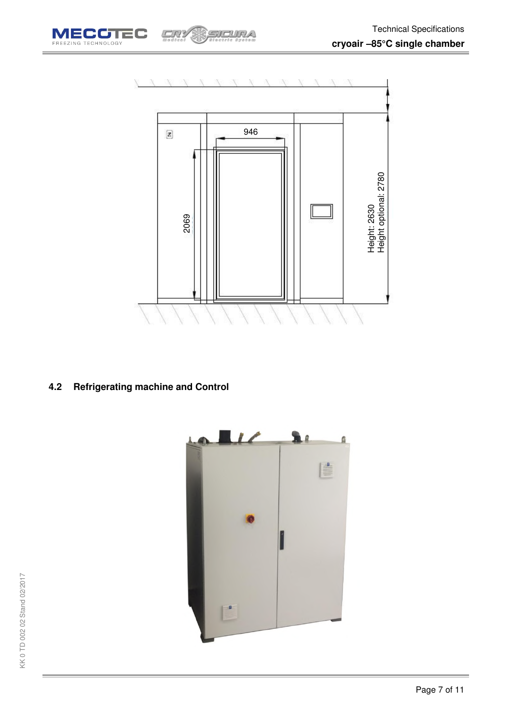



### <span id="page-7-0"></span>**4.2 Refrigerating machine and Control**

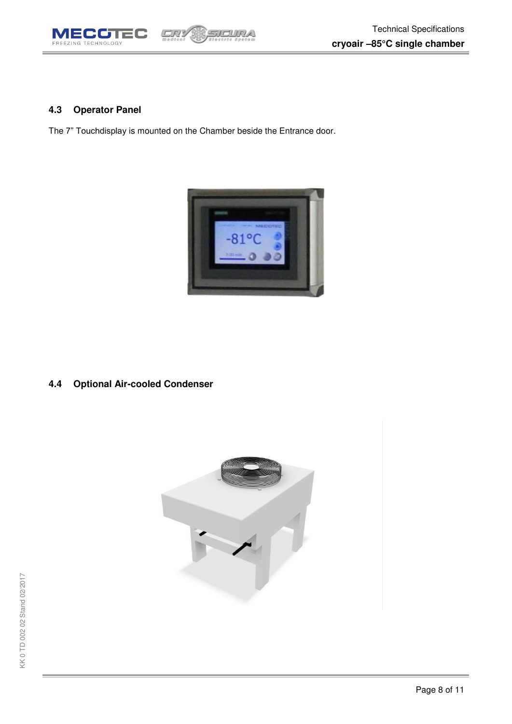

#### <span id="page-8-0"></span>**4.3 Operator Panel**

The 7" Touchdisplay is mounted on the Chamber beside the Entrance door.

CRY

SICURA



<span id="page-8-1"></span>**4.4 Optional Air-cooled Condenser** 

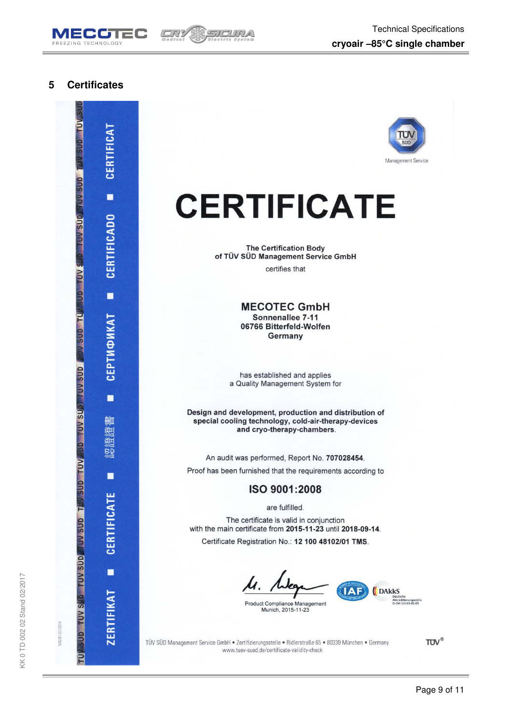



#### <span id="page-9-0"></span>5 **Certificates**





## **CERTIFICATE**

**The Certification Body** of TÜV SÜD Management Service GmbH certifies that

> **MECOTEC GmbH** Sonnenallee 7-11 06766 Bitterfeld-Wolfen Germany

has established and applies a Quality Management System for

Design and development, production and distribution of special cooling technology, cold-air-therapy-devices and cryo-therapy-chambers.

An audit was performed, Report No. 707028454.

Proof has been furnished that the requirements according to

ISO 9001:2008

are fulfilled.

The certificate is valid in conjunction with the main certificate from 2015-11-23 until 2018-09-14.

Certificate Registration No.: 12 100 48102/01 TMS.

Munich, 2015-11-23

**DARKS TAF** Akkreditierungsstelle<br>D-ZM-14143-01-03 Product Compliance Management

TÜV SÜD Management Service GmbH · Zertifizierungsstelle · Ridlerstraße 65 · 80339 München · Germany www.tuev-sued.de/certificate-validity-check

**TUV®**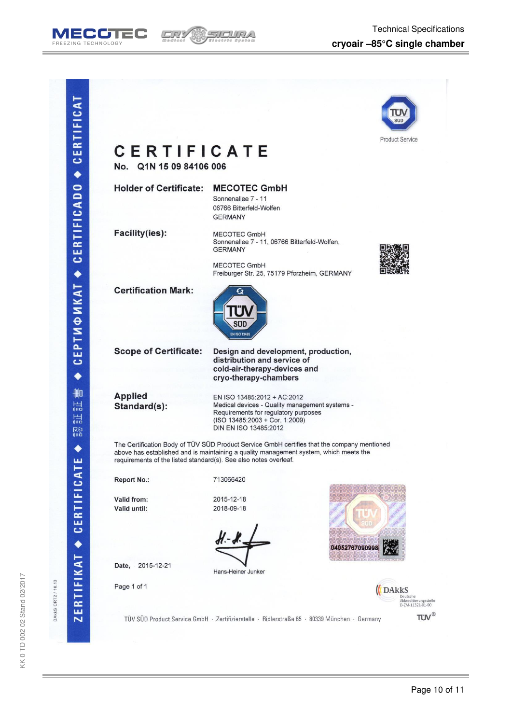



| <b>CERTIFICATE</b><br>No. Q1N 15 09 84106 006                    |                                                                                                                                                                                      | <b>Product Service</b>   |
|------------------------------------------------------------------|--------------------------------------------------------------------------------------------------------------------------------------------------------------------------------------|--------------------------|
| <b>Holder of Certificate:</b>                                    | <b>MECOTEC GmbH</b><br>Sonnenallee 7 - 11<br>06766 Bitterfeld-Wolfen<br><b>GERMANY</b>                                                                                               |                          |
| <b>Facility(ies):</b>                                            | <b>MECOTEC GmbH</b><br>Sonnenallee 7 - 11, 06766 Bitterfeld-Wolfen,<br><b>GERMANY</b>                                                                                                |                          |
|                                                                  | <b>MECOTEC GmbH</b><br>Freiburger Str. 25, 75179 Pforzheim, GERMANY                                                                                                                  |                          |
| <b>Certification Mark:</b>                                       | <b>EN ISO 13485</b>                                                                                                                                                                  |                          |
| <b>Scope of Certificate:</b>                                     | Design and development, production,<br>distribution and service of<br>cold-air-therapy-devices and<br>cryo-therapy-chambers                                                          |                          |
| <b>Applied</b><br>Standard(s):                                   | EN ISO 13485:2012 + AC:2012<br>Medical devices - Quality management systems -<br>Requirements for regulatory purposes<br>(ISO 13485:2003 + Cor. 1:2009)<br>DIN EN ISO 13485:2012     |                          |
| requirements of the listed standard(s). See also notes overleaf. | The Certification Body of TÜV SÜD Product Service GmbH certifies that the company mentioned<br>above has established and is maintaining a quality management system, which meets the |                          |
| <b>Report No.:</b>                                               | 713066420                                                                                                                                                                            |                          |
| Valid from:<br>Valid until:                                      | 2015-12-18<br>2018-09-18                                                                                                                                                             |                          |
|                                                                  | 0405276709099                                                                                                                                                                        |                          |
| 2015-12-21<br>Date,                                              | Hans-Heiner Junker                                                                                                                                                                   |                          |
| Page 1 of 1                                                      |                                                                                                                                                                                      | <b>DAkkS</b><br>Deutsche |

DAKKS CRT2 / 10.13

Page 10 of 11